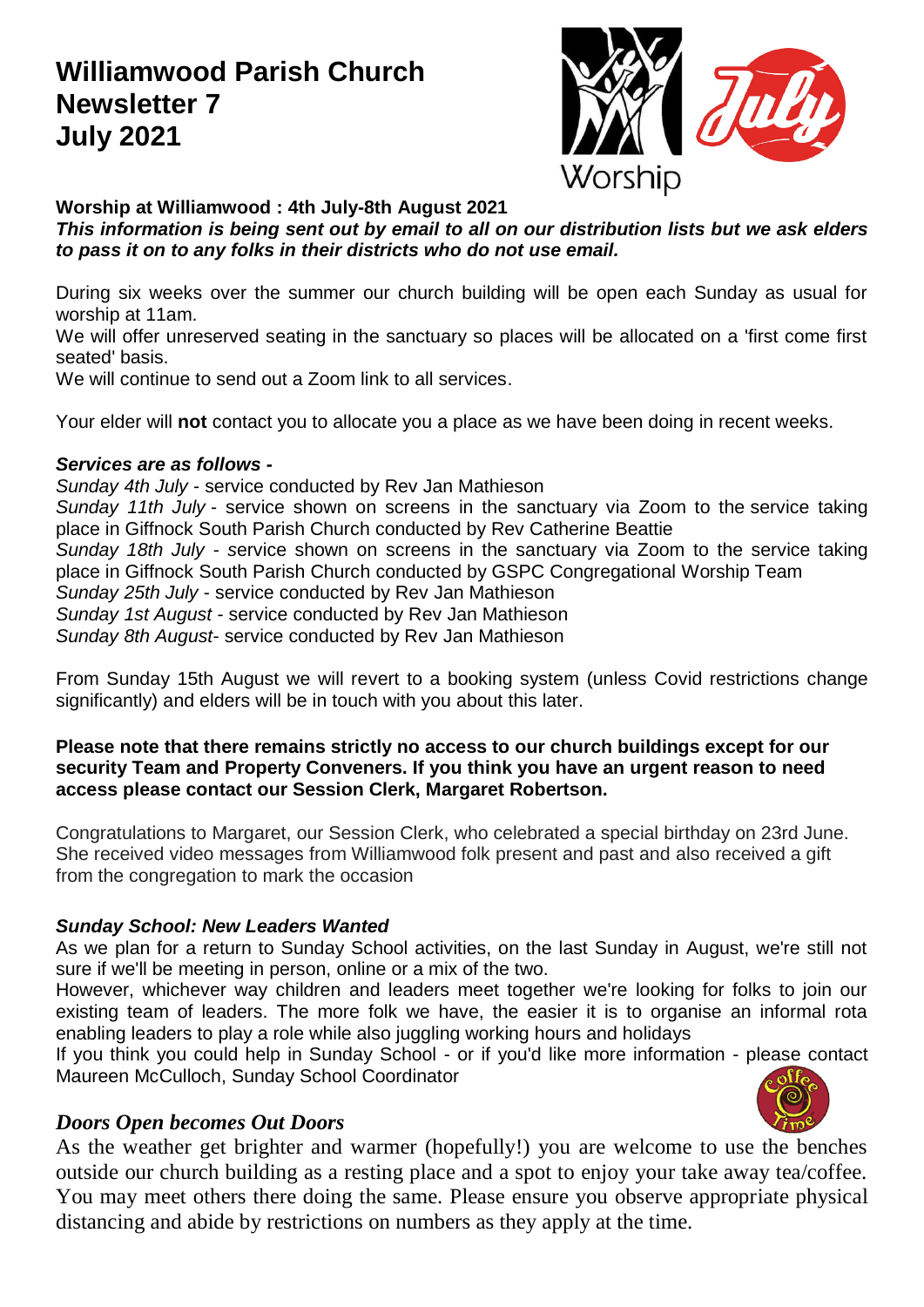### **Williamwood Parish Church Newsletter 7 July 2021**



**Worship at Williamwood : 4th July-8th August 2021**

*This information is being sent out by email to all on our distribution lists but we ask elders to pass it on to any folks in their districts who do not use email.*

During six weeks over the summer our church building will be open each Sunday as usual for worship at 11am.

We will offer unreserved seating in the sanctuary so places will be allocated on a 'first come first seated' basis.

We will continue to send out a Zoom link to all services.

Your elder will **not** contact you to allocate you a place as we have been doing in recent weeks.

#### *Services are as follows -*

*Sunday 4th July* - service conducted by Rev Jan Mathieson

*Sunday 11th July* - service shown on screens in the sanctuary via Zoom to the service taking place in Giffnock South Parish Church conducted by Rev Catherine Beattie

*Sunday 18th July - s*ervice shown on screens in the sanctuary via Zoom to the service taking place in Giffnock South Parish Church conducted by GSPC Congregational Worship Team *Sunday 25th July* - service conducted by Rev Jan Mathieson

*Sunday 1st August* - service conducted by Rev Jan Mathieson

*Sunday 8th August*- service conducted by Rev Jan Mathieson

From Sunday 15th August we will revert to a booking system (unless Covid restrictions change significantly) and elders will be in touch with you about this later.

#### **Please note that there remains strictly no access to our church buildings except for our security Team and Property Conveners. If you think you have an urgent reason to need access please contact our Session Clerk, Margaret Robertson.**

Congratulations to Margaret, our Session Clerk, who celebrated a special birthday on 23rd June. She received video messages from Williamwood folk present and past and also received a gift from the congregation to mark the occasion

#### *Sunday School: New Leaders Wanted*

As we plan for a return to Sunday School activities, on the last Sunday in August, we're still not sure if we'll be meeting in person, online or a mix of the two.

However, whichever way children and leaders meet together we're looking for folks to join our existing team of leaders. The more folk we have, the easier it is to organise an informal rota enabling leaders to play a role while also juggling working hours and holidays

If you think you could help in Sunday School - or if you'd like more information - please contact Maureen McCulloch, Sunday School Coordinator

#### *Doors Open becomes Out Doors*

As the weather get brighter and warmer (hopefully!) you are welcome to use the benches outside our church building as a resting place and a spot to enjoy your take away tea/coffee. You may meet others there doing the same. Please ensure you observe appropriate physical distancing and abide by restrictions on numbers as they apply at the time.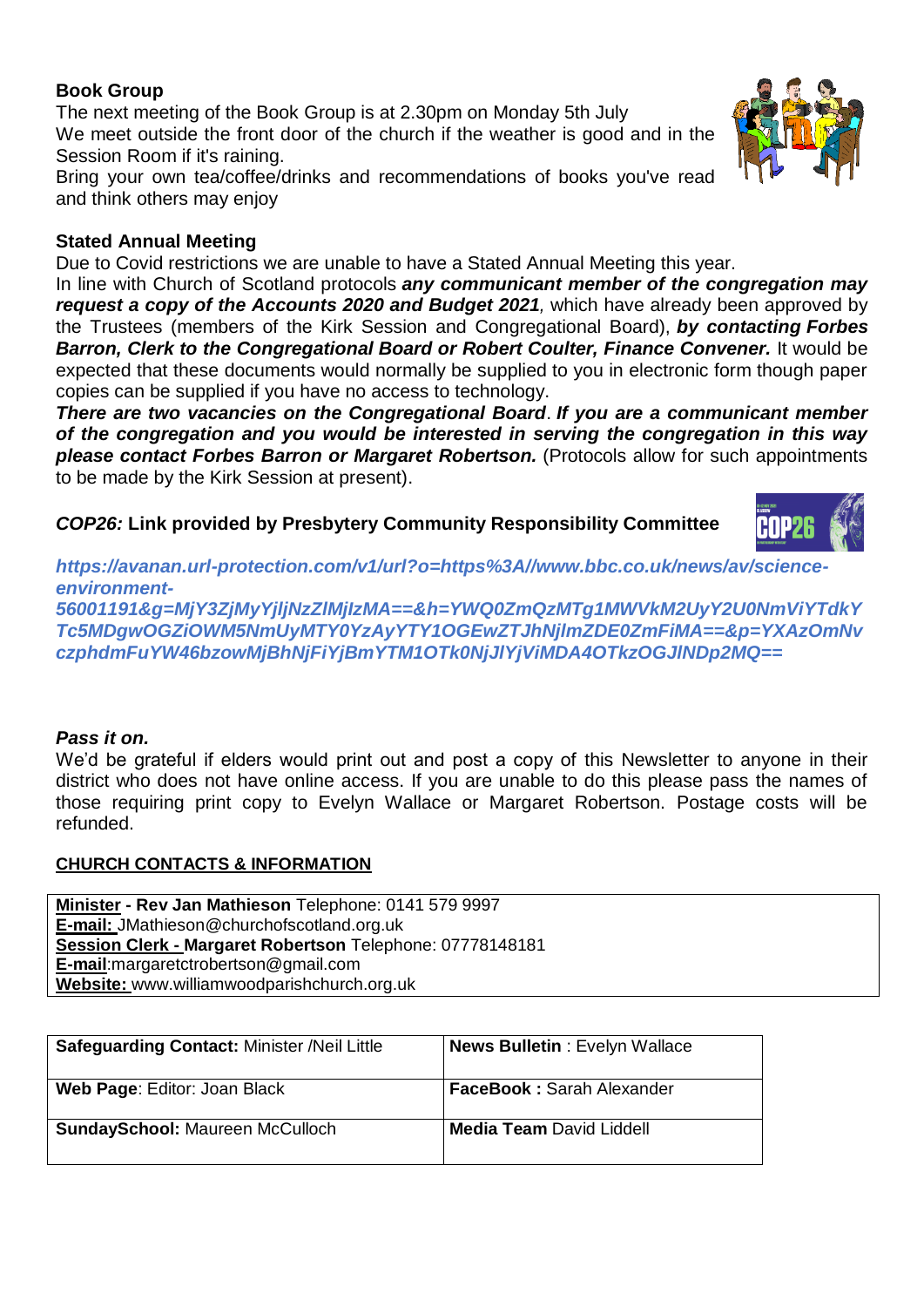#### **Book Group**

The next meeting of the Book Group is at 2.30pm on Monday 5th July We meet outside the front door of the church if the weather is good and in the Session Room if it's raining.

Bring your own tea/coffee/drinks and recommendations of books you've read and think others may enjoy

#### **Stated Annual Meeting**

Due to Covid restrictions we are unable to have a Stated Annual Meeting this year.

In line with Church of Scotland protocols *any communicant member of the congregation may request a copy of the Accounts 2020 and Budget 2021,* which have already been approved by the Trustees (members of the Kirk Session and Congregational Board), *by contacting Forbes Barron, Clerk to the Congregational Board or Robert Coulter, Finance Convener.* It would be expected that these documents would normally be supplied to you in electronic form though paper copies can be supplied if you have no access to technology.

*There are two vacancies on the Congregational Board*. *If you are a communicant member of the congregation and you would be interested in serving the congregation in this way please contact Forbes Barron or Margaret Robertson.* (Protocols allow for such appointments to be made by the Kirk Session at present).

*COP26:* **Link provided by Presbytery Community Responsibility Committee**

*https://avanan.url-protection.com/v1/url?o=https%3A//www.bbc.co.uk/news/av/scienceenvironment-*

*56001191&g=MjY3ZjMyYjljNzZlMjIzMA==&h=YWQ0ZmQzMTg1MWVkM2UyY2U0NmViYTdkY Tc5MDgwOGZiOWM5NmUyMTY0YzAyYTY1OGEwZTJhNjlmZDE0ZmFiMA==&p=YXAzOmNv czphdmFuYW46bzowMjBhNjFiYjBmYTM1OTk0NjJlYjViMDA4OTkzOGJlNDp2MQ==*

#### *Pass it on.*

We'd be grateful if elders would print out and post a copy of this Newsletter to anyone in their district who does not have online access. If you are unable to do this please pass the names of those requiring print copy to Evelyn Wallace or Margaret Robertson. Postage costs will be refunded.

#### **CHURCH CONTACTS & INFORMATION**

**Minister - Rev Jan Mathieson** Telephone: 0141 579 9997 **E-mail:** JMathieson@churchofscotland.org.uk **Session Clerk - Margaret Robertson** Telephone: 07778148181 **E-mail**:margaretctrobertson@gmail.com **Website:** www.williamwoodparishchurch.org.uk

| <b>Safeguarding Contact: Minister /Neil Little</b> | <b>News Bulletin: Evelyn Wallace</b> |
|----------------------------------------------------|--------------------------------------|
| Web Page: Editor: Joan Black                       | <b>FaceBook: Sarah Alexander</b>     |
| <b>SundaySchool: Maureen McCulloch</b>             | <b>Media Team David Liddell</b>      |